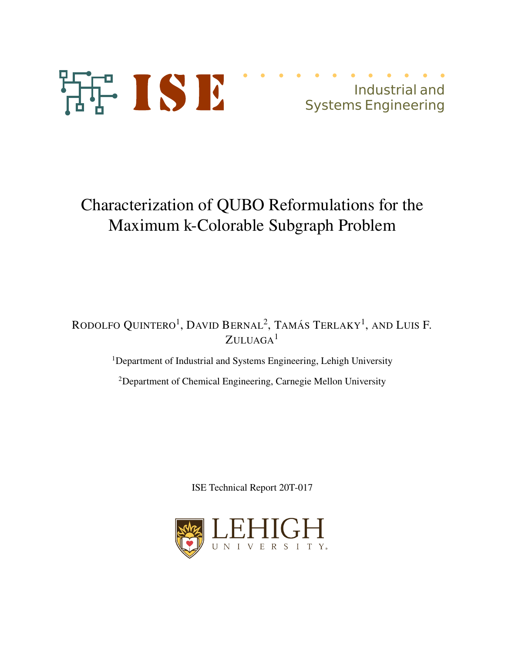

# Characterization of QUBO Reformulations for the Maximum k-Colorable Subgraph Problem

RODOLFO QUINTERO<sup>1</sup>, DAVID BERNAL<sup>2</sup>, TAMÁS TERLAKY<sup>1</sup>, AND LUIS F.  $ZULUAGA<sup>1</sup>$ 

<sup>1</sup>Department of Industrial and Systems Engineering, Lehigh University

<sup>2</sup>Department of Chemical Engineering, Carnegie Mellon University

ISE Technical Report 20T-017

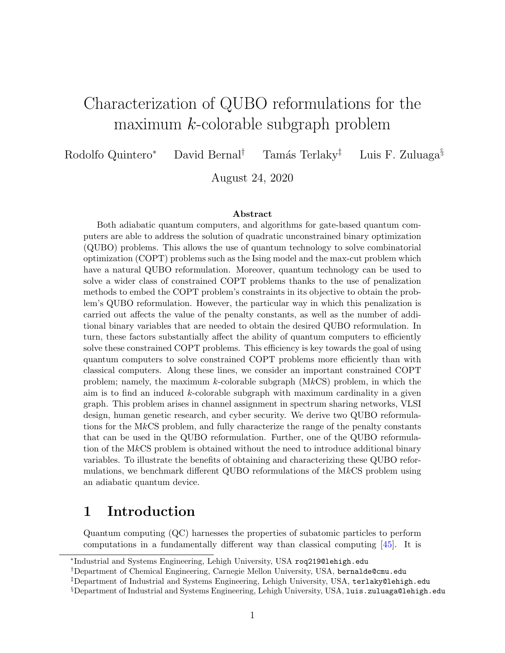## Characterization of QUBO reformulations for the maximum k-colorable subgraph problem

Rodolfo Quintero<sup>∗</sup> David Bernal<sup>†</sup> Tamás Terlaky<sup>‡</sup> Luis F. Zuluaga<sup>§</sup>

August 24, 2020

#### Abstract

Both adiabatic quantum computers, and algorithms for gate-based quantum computers are able to address the solution of quadratic unconstrained binary optimization (QUBO) problems. This allows the use of quantum technology to solve combinatorial optimization (COPT) problems such as the Ising model and the max-cut problem which have a natural QUBO reformulation. Moreover, quantum technology can be used to solve a wider class of constrained COPT problems thanks to the use of penalization methods to embed the COPT problem's constraints in its objective to obtain the problem's QUBO reformulation. However, the particular way in which this penalization is carried out affects the value of the penalty constants, as well as the number of additional binary variables that are needed to obtain the desired QUBO reformulation. In turn, these factors substantially affect the ability of quantum computers to efficiently solve these constrained COPT problems. This efficiency is key towards the goal of using quantum computers to solve constrained COPT problems more efficiently than with classical computers. Along these lines, we consider an important constrained COPT problem; namely, the maximum k-colorable subgraph  $(MkCS)$  problem, in which the aim is to find an induced  $k$ -colorable subgraph with maximum cardinality in a given graph. This problem arises in channel assignment in spectrum sharing networks, VLSI design, human genetic research, and cyber security. We derive two QUBO reformulations for the MkCS problem, and fully characterize the range of the penalty constants that can be used in the QUBO reformulation. Further, one of the QUBO reformulation of the MkCS problem is obtained without the need to introduce additional binary variables. To illustrate the benefits of obtaining and characterizing these QUBO reformulations, we benchmark different QUBO reformulations of the MkCS problem using an adiabatic quantum device.

## 1 Introduction

Quantum computing (QC) harnesses the properties of subatomic particles to perform computations in a fundamentally different way than classical computing [45]. It is

<sup>∗</sup> Industrial and Systems Engineering, Lehigh University, USA roq219@lehigh.edu

<sup>†</sup>Department of Chemical Engineering, Carnegie Mellon University, USA, bernalde@cmu.edu

<sup>‡</sup>Department of Industrial and Systems Engineering, Lehigh University, USA, terlaky@lehigh.edu

<sup>§</sup>Department of Industrial and Systems Engineering, Lehigh University, USA, luis.zuluaga@lehigh.edu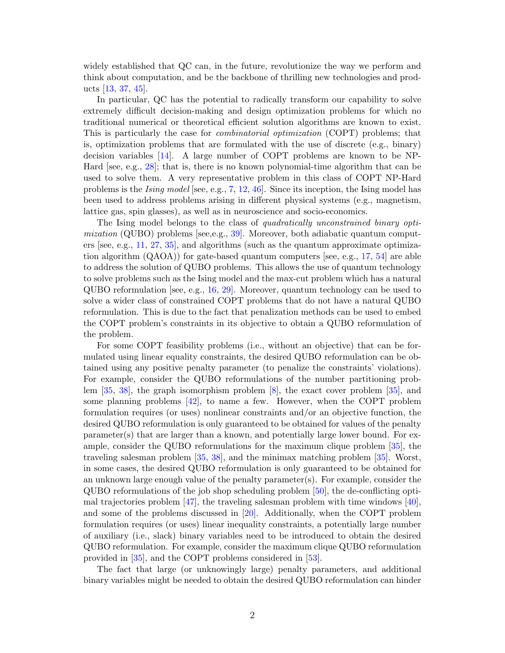widely established that QC can, in the future, revolutionize the way we perform and think about computation, and be the backbone of thrilling new technologies and products [13, 37, 45].

In particular, QC has the potential to radically transform our capability to solve extremely difficult decision-making and design optimization problems for which no traditional numerical or theoretical efficient solution algorithms are known to exist. This is particularly the case for combinatorial optimization (COPT) problems; that is, optimization problems that are formulated with the use of discrete (e.g., binary) decision variables [14]. A large number of COPT problems are known to be NP-Hard [see, e.g., 28]; that is, there is no known polynomial-time algorithm that can be used to solve them. A very representative problem in this class of COPT NP-Hard problems is the Ising model [see, e.g., 7, 12, 46]. Since its inception, the Ising model has been used to address problems arising in different physical systems (e.g., magnetism, lattice gas, spin glasses), as well as in neuroscience and socio-economics.

The Ising model belongs to the class of quadratically unconstrained binary opti $mization$  (QUBO) problems [see,e.g., 39]. Moreover, both adiabatic quantum computers [see, e.g., 11, 27, 35], and algorithms (such as the quantum approximate optimization algorithm (QAOA)) for gate-based quantum computers [see, e.g., 17, 54] are able to address the solution of QUBO problems. This allows the use of quantum technology to solve problems such as the Ising model and the max-cut problem which has a natural QUBO reformulation [see, e.g., 16, 29]. Moreover, quantum technology can be used to solve a wider class of constrained COPT problems that do not have a natural QUBO reformulation. This is due to the fact that penalization methods can be used to embed the COPT problem's constraints in its objective to obtain a QUBO reformulation of the problem.

For some COPT feasibility problems (i.e., without an objective) that can be formulated using linear equality constraints, the desired QUBO reformulation can be obtained using any positive penalty parameter (to penalize the constraints' violations). For example, consider the QUBO reformulations of the number partitioning problem [35, 38], the graph isomorphism problem [8], the exact cover problem [35], and some planning problems [42], to name a few. However, when the COPT problem formulation requires (or uses) nonlinear constraints and/or an objective function, the desired QUBO reformulation is only guaranteed to be obtained for values of the penalty parameter(s) that are larger than a known, and potentially large lower bound. For example, consider the QUBO reformulations for the maximum clique problem [35], the traveling salesman problem [35, 38], and the minimax matching problem [35]. Worst, in some cases, the desired QUBO reformulation is only guaranteed to be obtained for an unknown large enough value of the penalty parameter(s). For example, consider the QUBO reformulations of the job shop scheduling problem [50], the de-conflicting optimal trajectories problem  $[47]$ , the traveling salesman problem with time windows  $[40]$ , and some of the problems discussed in [20]. Additionally, when the COPT problem formulation requires (or uses) linear inequality constraints, a potentially large number of auxiliary (i.e., slack) binary variables need to be introduced to obtain the desired QUBO reformulation. For example, consider the maximum clique QUBO reformulation provided in [35], and the COPT problems considered in [53].

The fact that large (or unknowingly large) penalty parameters, and additional binary variables might be needed to obtain the desired QUBO reformulation can hinder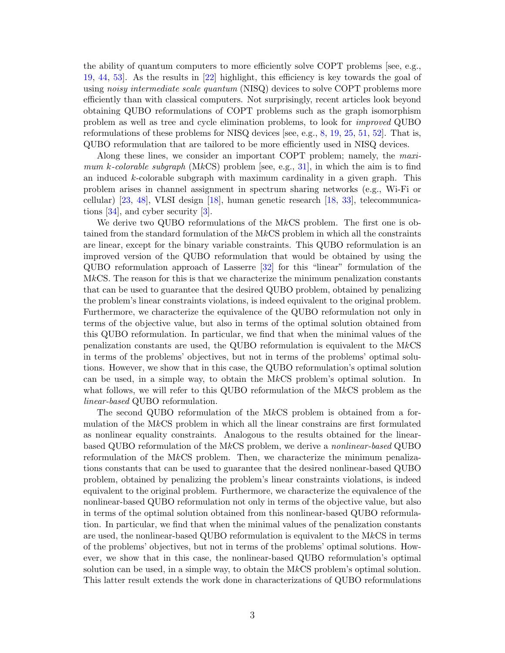the ability of quantum computers to more efficiently solve COPT problems [see, e.g., 19, 44, 53]. As the results in [22] highlight, this efficiency is key towards the goal of using *noisy intermediate scale quantum* (NISQ) devices to solve COPT problems more efficiently than with classical computers. Not surprisingly, recent articles look beyond obtaining QUBO reformulations of COPT problems such as the graph isomorphism problem as well as tree and cycle elimination problems, to look for improved QUBO reformulations of these problems for NISQ devices [see, e.g., 8, 19, 25, 51, 52]. That is, QUBO reformulation that are tailored to be more efficiently used in NISQ devices.

Along these lines, we consider an important COPT problem; namely, the maximum k-colorable subgraph (MkCS) problem [see, e.g., 31], in which the aim is to find an induced k-colorable subgraph with maximum cardinality in a given graph. This problem arises in channel assignment in spectrum sharing networks (e.g., Wi-Fi or cellular) [23, 48], VLSI design [18], human genetic research [18, 33], telecommunications [34], and cyber security [3].

We derive two QUBO reformulations of the MkCS problem. The first one is obtained from the standard formulation of the MkCS problem in which all the constraints are linear, except for the binary variable constraints. This QUBO reformulation is an improved version of the QUBO reformulation that would be obtained by using the QUBO reformulation approach of Lasserre [32] for this "linear" formulation of the MkCS. The reason for this is that we characterize the minimum penalization constants that can be used to guarantee that the desired QUBO problem, obtained by penalizing the problem's linear constraints violations, is indeed equivalent to the original problem. Furthermore, we characterize the equivalence of the QUBO reformulation not only in terms of the objective value, but also in terms of the optimal solution obtained from this QUBO reformulation. In particular, we find that when the minimal values of the penalization constants are used, the QUBO reformulation is equivalent to the MkCS in terms of the problems' objectives, but not in terms of the problems' optimal solutions. However, we show that in this case, the QUBO reformulation's optimal solution can be used, in a simple way, to obtain the MkCS problem's optimal solution. In what follows, we will refer to this QUBO reformulation of the MkCS problem as the linear-based QUBO reformulation.

The second QUBO reformulation of the MkCS problem is obtained from a formulation of the MkCS problem in which all the linear constrains are first formulated as nonlinear equality constraints. Analogous to the results obtained for the linearbased QUBO reformulation of the MkCS problem, we derive a nonlinear-based QUBO reformulation of the MkCS problem. Then, we characterize the minimum penalizations constants that can be used to guarantee that the desired nonlinear-based QUBO problem, obtained by penalizing the problem's linear constraints violations, is indeed equivalent to the original problem. Furthermore, we characterize the equivalence of the nonlinear-based QUBO reformulation not only in terms of the objective value, but also in terms of the optimal solution obtained from this nonlinear-based QUBO reformulation. In particular, we find that when the minimal values of the penalization constants are used, the nonlinear-based QUBO reformulation is equivalent to the MkCS in terms of the problems' objectives, but not in terms of the problems' optimal solutions. However, we show that in this case, the nonlinear-based QUBO reformulation's optimal solution can be used, in a simple way, to obtain the MkCS problem's optimal solution. This latter result extends the work done in characterizations of QUBO reformulations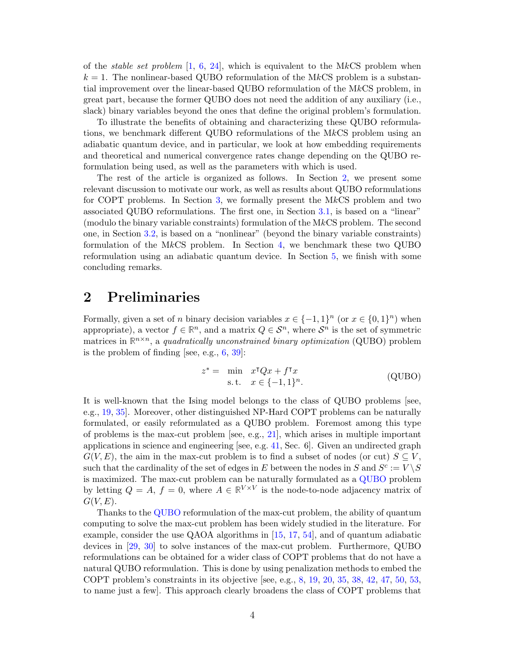of the *stable set problem* [1, 6, 24], which is equivalent to the MkCS problem when  $k = 1$ . The nonlinear-based QUBO reformulation of the MkCS problem is a substantial improvement over the linear-based QUBO reformulation of the MkCS problem, in great part, because the former QUBO does not need the addition of any auxiliary (i.e., slack) binary variables beyond the ones that define the original problem's formulation.

To illustrate the benefits of obtaining and characterizing these QUBO reformulations, we benchmark different QUBO reformulations of the MkCS problem using an adiabatic quantum device, and in particular, we look at how embedding requirements and theoretical and numerical convergence rates change depending on the QUBO reformulation being used, as well as the parameters with which is used.

The rest of the article is organized as follows. In Section 2, we present some relevant discussion to motivate our work, as well as results about QUBO reformulations for COPT problems. In Section 3, we formally present the MkCS problem and two associated QUBO reformulations. The first one, in Section 3.1, is based on a "linear" (modulo the binary variable constraints) formulation of the MkCS problem. The second one, in Section 3.2, is based on a "nonlinear" (beyond the binary variable constraints) formulation of the MkCS problem. In Section 4, we benchmark these two QUBO reformulation using an adiabatic quantum device. In Section 5, we finish with some concluding remarks.

## 2 Preliminaries

Formally, given a set of n binary decision variables  $x \in \{-1,1\}^n$  (or  $x \in \{0,1\}^n$ ) when appropriate), a vector  $f \in \mathbb{R}^n$ , and a matrix  $Q \in \mathcal{S}^n$ , where  $\mathcal{S}^n$  is the set of symmetric matrices in  $\mathbb{R}^{n \times n}$ , a *quadratically unconstrained binary optimization* (QUBO) problem is the problem of finding [see, e.g.,  $6, 39$ ]:

$$
z^* = \min_{\mathbf{s}.\mathbf{t}} \quad x^\mathsf{T} Q x + f^\mathsf{T} x
$$
  
s.t. 
$$
x \in \{-1, 1\}^n.
$$
 (QUBO)

It is well-known that the Ising model belongs to the class of QUBO problems [see, e.g., 19, 35]. Moreover, other distinguished NP-Hard COPT problems can be naturally formulated, or easily reformulated as a QUBO problem. Foremost among this type of problems is the max-cut problem [see, e.g., 21], which arises in multiple important applications in science and engineering [see, e.g. 41, Sec. 6]. Given an undirected graph  $G(V, E)$ , the aim in the max-cut problem is to find a subset of nodes (or cut)  $S \subseteq V$ . such that the cardinality of the set of edges in  $E$  between the nodes in  $S$  and  $S^c := V \setminus S$ is maximized. The max-cut problem can be naturally formulated as a QUBO problem by letting  $Q = A$ ,  $f = 0$ , where  $A \in \mathbb{R}^{V \times V}$  is the node-to-node adjacency matrix of  $G(V, E)$ .

Thanks to the QUBO reformulation of the max-cut problem, the ability of quantum computing to solve the max-cut problem has been widely studied in the literature. For example, consider the use QAOA algorithms in [15, 17, 54], and of quantum adiabatic devices in [29, 30] to solve instances of the max-cut problem. Furthermore, QUBO reformulations can be obtained for a wider class of COPT problems that do not have a natural QUBO reformulation. This is done by using penalization methods to embed the COPT problem's constraints in its objective [see, e.g., 8, 19, 20, 35, 38, 42, 47, 50, 53, to name just a few]. This approach clearly broadens the class of COPT problems that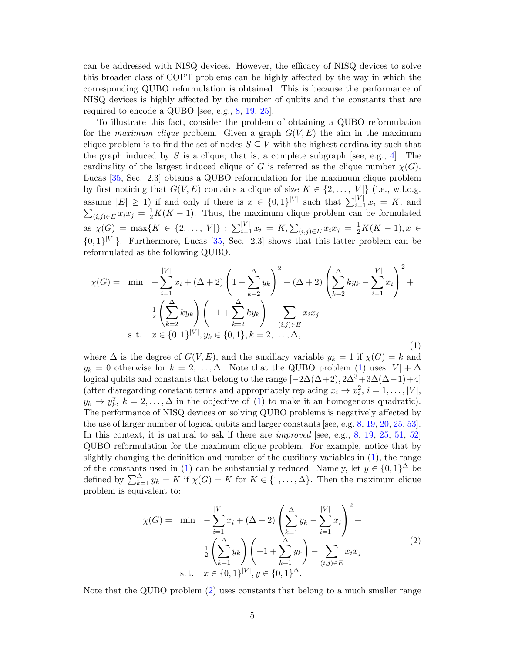can be addressed with NISQ devices. However, the efficacy of NISQ devices to solve this broader class of COPT problems can be highly affected by the way in which the corresponding QUBO reformulation is obtained. This is because the performance of NISQ devices is highly affected by the number of qubits and the constants that are required to encode a QUBO [see, e.g., 8, 19, 25].

To illustrate this fact, consider the problem of obtaining a QUBO reformulation for the maximum clique problem. Given a graph  $G(V, E)$  the aim in the maximum clique problem is to find the set of nodes  $S \subseteq V$  with the highest cardinality such that the graph induced by S is a clique; that is, a complete subgraph [see, e.g., 4]. The cardinality of the largest induced clique of G is referred as the clique number  $\chi(G)$ . Lucas [35, Sec. 2.3] obtains a QUBO reformulation for the maximum clique problem by first noticing that  $G(V, E)$  contains a clique of size  $K \in \{2, \ldots, |V|\}$  (i.e., w.l.o.g. assume  $|E| \ge 1$ ) if and only if there is  $x \in \{0,1\}^{|V|}$  such that  $\sum_{i=1}^{|V|} \sum_{j=1}^{|V|} x_i x_j = \frac{1}{2} K(K-1)$ . Thus, the maximum clique problem can  $x_i = K$ , and  $(i,j) \in E \; x_i x_j = \frac{1}{2}K(K-1)$ . Thus, the maximum clique problem can be formulated as  $\chi(G) = \max\{K \in \{2,\ldots,|V|\} : \sum_{i=1}^{|V|} x_i = K, \sum_{(i,j)\in E} x_i x_j = \frac{1}{2}K(K-1), x \in$  $\{0,1\}^{|V|}\}$ . Furthermore, Lucas [35, Sec. 2.3] shows that this latter problem can be reformulated as the following QUBO.

$$
\chi(G) = \min \quad -\sum_{i=1}^{|V|} x_i + (\Delta + 2) \left( 1 - \sum_{k=2}^{\Delta} y_k \right)^2 + (\Delta + 2) \left( \sum_{k=2}^{\Delta} k y_k - \sum_{i=1}^{|V|} x_i \right)^2 + \frac{1}{2} \left( \sum_{k=2}^{\Delta} k y_k \right) \left( -1 + \sum_{k=2}^{\Delta} k y_k \right) - \sum_{(i,j) \in E} x_i x_j
$$
\ns.t.  $x \in \{0, 1\}^{|V|}, y_k \in \{0, 1\}, k = 2, ..., \Delta,$ \n
$$
(1)
$$

where  $\Delta$  is the degree of  $G(V, E)$ , and the auxiliary variable  $y_k = 1$  if  $\chi(G) = k$  and  $y_k = 0$  otherwise for  $k = 2, ..., \Delta$ . Note that the QUBO problem (1) uses  $|V| + \Delta$ logical qubits and constants that belong to the range  $[-2\Delta(\Delta+2), 2\Delta^3+3\Delta(\Delta-1)+4]$ (after disregarding constant terms and appropriately replacing  $x_i \to x_i^2$ ,  $i = 1, ..., |V|$ ,  $y_k \to y_k^2$ ,  $k = 2, ..., \Delta$  in the objective of (1) to make it an homogenous quadratic). The performance of NISQ devices on solving QUBO problems is negatively affected by the use of larger number of logical qubits and larger constants [see, e.g. 8, 19, 20, 25, 53]. In this context, it is natural to ask if there are *improved* [see, e.g., 8, 19, 25, 51, 52] QUBO reformulation for the maximum clique problem. For example, notice that by slightly changing the definition and number of the auxiliary variables in  $(1)$ , the range of the constants used in (1) can be substantially reduced. Namely, let  $y \in \{0,1\}^{\Delta}$  be defined by  $\sum_{k=1}^{\Delta} y_k = K$  if  $\chi(G) = K$  for  $K \in \{1, \ldots, \Delta\}$ . Then the maximum clique problem is equivalent to:

$$
\chi(G) = \min \quad -\sum_{i=1}^{|V|} x_i + (\Delta + 2) \left( \sum_{k=1}^{\Delta} y_k - \sum_{i=1}^{|V|} x_i \right)^2 +
$$

$$
\frac{1}{2} \left( \sum_{k=1}^{\Delta} y_k \right) \left( -1 + \sum_{k=1}^{\Delta} y_k \right) - \sum_{(i,j) \in E} x_i x_j
$$

$$
\text{s.t.} \quad x \in \{0, 1\}^{|V|}, y \in \{0, 1\}^{\Delta}.
$$

Note that the QUBO problem (2) uses constants that belong to a much smaller range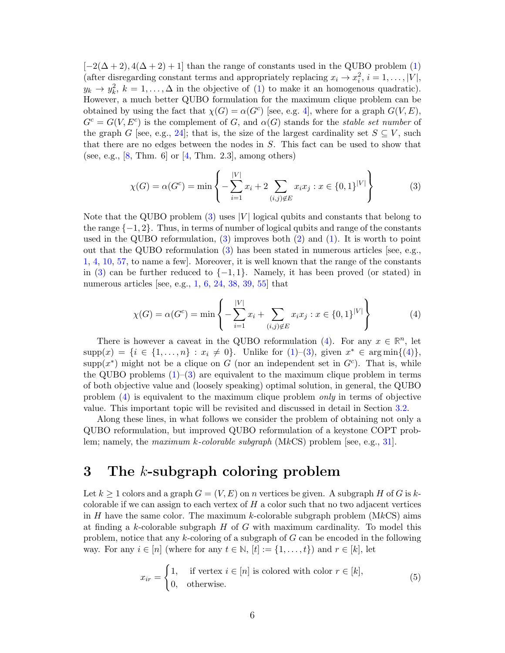$[-2(\Delta+2), 4(\Delta+2)+1]$  than the range of constants used in the QUBO problem (1) (after disregarding constant terms and appropriately replacing  $x_i \to x_i^2$ ,  $i = 1, ..., |V|$ ,  $y_k \to y_k^2$ ,  $k = 1, ..., \Delta$  in the objective of (1) to make it an homogenous quadratic). However, a much better QUBO formulation for the maximum clique problem can be obtained by using the fact that  $\chi(G) = \alpha(G^c)$  [see, e.g. 4], where for a graph  $G(V, E)$ ,  $G^c = G(V, E^c)$  is the complement of G, and  $\alpha(G)$  stands for the stable set number of the graph G [see, e.g., 24]; that is, the size of the largest cardinality set  $S \subseteq V$ , such that there are no edges between the nodes in S. This fact can be used to show that (see, e.g.,  $[8, Thm. 6]$  or  $[4, Thm. 2.3]$ , among others)

$$
\chi(G) = \alpha(G^{c}) = \min \left\{ -\sum_{i=1}^{|V|} x_i + 2 \sum_{(i,j) \notin E} x_i x_j : x \in \{0,1\}^{|V|} \right\}
$$
(3)

Note that the QUBO problem  $(3)$  uses  $|V|$  logical qubits and constants that belong to the range  $\{-1, 2\}$ . Thus, in terms of number of logical qubits and range of the constants used in the QUBO reformulation,  $(3)$  improves both  $(2)$  and  $(1)$ . It is worth to point out that the QUBO reformulation (3) has been stated in numerous articles [see, e.g., 1, 4, 10, 57, to name a few]. Moreover, it is well known that the range of the constants in (3) can be further reduced to  $\{-1,1\}$ . Namely, it has been proved (or stated) in numerous articles [see, e.g., 1, 6, 24, 38, 39, 55] that

$$
\chi(G) = \alpha(G^{c}) = \min \left\{ -\sum_{i=1}^{|V|} x_i + \sum_{(i,j)\notin E} x_i x_j : x \in \{0,1\}^{|V|} \right\}
$$
(4)

There is however a caveat in the QUBO reformulation (4). For any  $x \in \mathbb{R}^n$ , let  $supp(x) = \{i \in \{1, ..., n\} : x_i \neq 0\}$ . Unlike for  $(1)–(3)$ , given  $x^* \in \arg\min\{(4)\}\$ , supp $(x^*)$  might not be a clique on G (nor an independent set in  $G<sup>c</sup>$ ). That is, while the QUBO problems  $(1)-(3)$  are equivalent to the maximum clique problem in terms of both objective value and (loosely speaking) optimal solution, in general, the QUBO problem (4) is equivalent to the maximum clique problem only in terms of objective value. This important topic will be revisited and discussed in detail in Section 3.2.

Along these lines, in what follows we consider the problem of obtaining not only a QUBO reformulation, but improved QUBO reformulation of a keystone COPT problem; namely, the *maximum k-colorable subgraph* (MkCS) problem [see, e.g., 31].

## 3 The k-subgraph coloring problem

Let  $k \geq 1$  colors and a graph  $G = (V, E)$  on n vertices be given. A subgraph H of G is kcolorable if we can assign to each vertex of  $H$  a color such that no two adjacent vertices in H have the same color. The maximum k-colorable subgraph problem  $(MkCS)$  aims at finding a k-colorable subgraph  $H$  of  $G$  with maximum cardinality. To model this problem, notice that any k-coloring of a subgraph of G can be encoded in the following way. For any  $i \in [n]$  (where for any  $t \in \mathbb{N}$ ,  $[t] := \{1, \ldots, t\}$ ) and  $r \in [k]$ , let

$$
x_{ir} = \begin{cases} 1, & \text{if vertex } i \in [n] \text{ is colored with color } r \in [k], \\ 0, & \text{otherwise.} \end{cases} \tag{5}
$$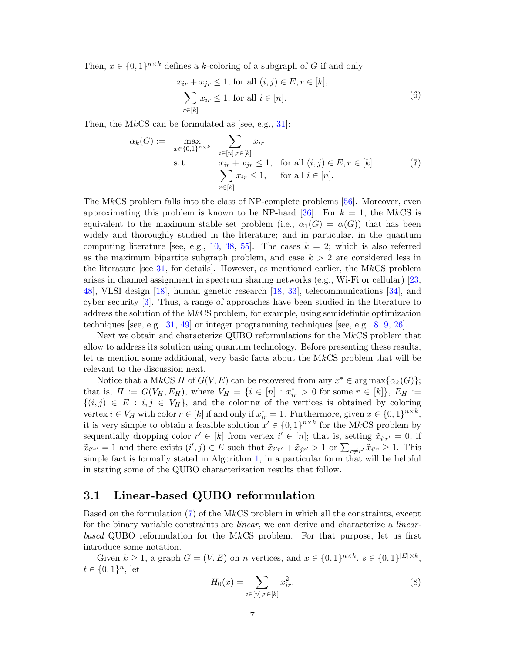Then,  $x \in \{0,1\}^{n \times k}$  defines a k-coloring of a subgraph of G if and only

$$
x_{ir} + x_{jr} \le 1, \text{ for all } (i, j) \in E, r \in [k],
$$
  

$$
\sum_{r \in [k]} x_{ir} \le 1, \text{ for all } i \in [n].
$$
  
(6)

Then, the MkCS can be formulated as [see, e.g.,  $31$ ]:

$$
\alpha_k(G) := \max_{\substack{x \in \{0,1\}^{n \times k} \\ \text{s.t.}}} \sum_{\substack{i \in [n], r \in [k] \\ x_{ir} + x_{jr} \le 1, \\ r \in [k]}} x_{ir}
$$
\n
$$
\sum_{r \in [k]} x_{ir} \le 1, \quad \text{for all } (i, j) \in E, r \in [k],
$$
\n
$$
(7)
$$

The MkCS problem falls into the class of NP-complete problems [56]. Moreover, even approximating this problem is known to be NP-hard [36]. For  $k = 1$ , the MkCS is equivalent to the maximum stable set problem (i.e.,  $\alpha_1(G) = \alpha(G)$ ) that has been widely and thoroughly studied in the literature; and in particular, in the quantum computing literature [see, e.g., 10, 38, 55]. The cases  $k = 2$ ; which is also referred as the maximum bipartite subgraph problem, and case  $k > 2$  are considered less in the literature [see 31, for details]. However, as mentioned earlier, the MkCS problem arises in channel assignment in spectrum sharing networks (e.g., Wi-Fi or cellular) [23, 48], VLSI design [18], human genetic research [18, 33], telecommunications [34], and cyber security [3]. Thus, a range of approaches have been studied in the literature to address the solution of the MkCS problem, for example, using semidefinite optimization techniques [see, e.g.,  $31, 49$ ] or integer programming techniques [see, e.g.,  $8, 9, 26$ ].

Next we obtain and characterize QUBO reformulations for the MkCS problem that allow to address its solution using quantum technology. Before presenting these results, let us mention some additional, very basic facts about the  $MkCS$  problem that will be relevant to the discussion next.

Notice that a MkCS H of  $G(V, E)$  can be recovered from any  $x^* \in \arg \max \{\alpha_k(G)\};$ that is,  $H := G(V_H, E_H)$ , where  $V_H = \{i \in [n] : x_{ir}^* > 0 \text{ for some } r \in [k]\}, E_H :=$  $\{(i,j)\in E : i,j \in V_H\}$ , and the coloring of the vertices is obtained by coloring vertex  $i \in V_H$  with color  $r \in [k]$  if and only if  $x_{ir}^* = 1$ . Furthermore, given  $\tilde{x} \in \{0, 1\}^{n \times k}$ , it is very simple to obtain a feasible solution  $x' \in \{0,1\}^{n \times k}$  for the MkCS problem by sequentially dropping color  $r' \in [k]$  from vertex  $i' \in [n]$ ; that is, setting  $\tilde{x}_{i'r'} = 0$ , if  $\tilde{x}_{i'r'} = 1$  and there exists  $(i', j) \in E$  such that  $\tilde{x}_{i'r'} + \tilde{x}_{jr'} > 1$  or  $\sum_{r \neq r'} \tilde{x}_{i'r} \geq 1$ . This simple fact is formally stated in Algorithm 1, in a particular form that will be helpful in stating some of the QUBO characterization results that follow.

#### 3.1 Linear-based QUBO reformulation

Based on the formulation  $(7)$  of the MkCS problem in which all the constraints, except for the binary variable constraints are linear, we can derive and characterize a linearbased QUBO reformulation for the MkCS problem. For that purpose, let us first introduce some notation.

Given  $k \geq 1$ , a graph  $G = (V, E)$  on n vertices, and  $x \in \{0, 1\}^{n \times k}$ ,  $s \in \{0, 1\}^{|E| \times k}$ ,  $t \in \{0, 1\}^n$ , let

$$
H_0(x) = \sum_{i \in [n], r \in [k]} x_{ir}^2,
$$
\n(8)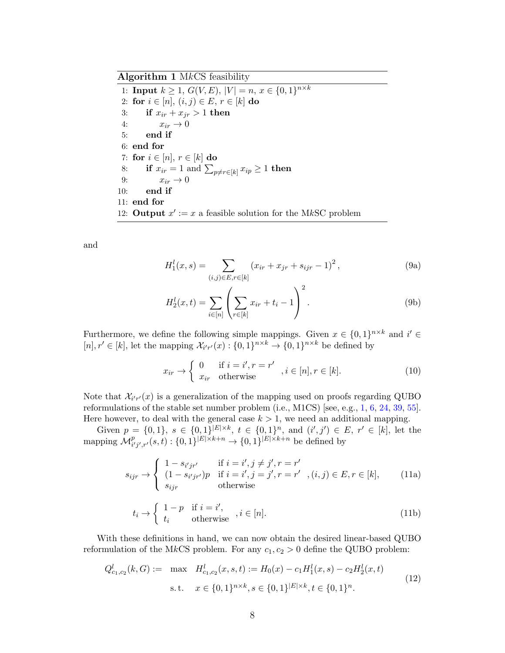Algorithm 1 MkCS feasibility

1: **Input**  $k \geq 1$ ,  $G(V, E)$ ,  $|V| = n$ ,  $x \in \{0, 1\}^{n \times k}$ 2: for  $i \in [n]$ ,  $(i, j) \in E$ ,  $r \in [k]$  do<br>3: if  $x_{ir} + x_{ir} > 1$  then if  $x_{ir} + x_{jr} > 1$  then 4:  $x_{ir} \rightarrow 0$ <br>5: **end if** end if 6: end for 7: for  $i \in [n]$ ,  $r \in [k]$  do<br>8: if  $x_{ir} = 1$  and  $\sum_{r}$ 8: if  $x_{ir} = 1$  and  $\sum_{p \neq r \in [k]} x_{ip} \geq 1$  then 9:  $x_{ir} \rightarrow 0$ <br>10: **end if** end if 11: end for 12: **Output**  $x' := x$  a feasible solution for the MkSC problem

and

$$
H_1^l(x,s) = \sum_{(i,j)\in E, r\in[k]} (x_{ir} + x_{jr} + s_{ijr} - 1)^2,
$$
\n(9a)

$$
H_2^l(x,t) = \sum_{i \in [n]} \left( \sum_{r \in [k]} x_{ir} + t_i - 1 \right)^2.
$$
 (9b)

Furthermore, we define the following simple mappings. Given  $x \in \{0,1\}^{n \times k}$  and  $i' \in$  $[n], r' \in [k]$ , let the mapping  $\mathcal{X}_{i'r'}(x) : \{0,1\}^{n \times k} \to \{0,1\}^{n \times k}$  be defined by

$$
x_{ir} \to \begin{cases} 0 & \text{if } i = i', r = r' \\ x_{ir} & \text{otherwise} \end{cases}, i \in [n], r \in [k].
$$
 (10)

Note that  $\mathcal{X}_{i'r'}(x)$  is a generalization of the mapping used on proofs regarding QUBO reformulations of the stable set number problem (i.e., M1CS) [see, e.g., 1, 6, 24, 39, 55]. Here however, to deal with the general case  $k > 1$ , we need an additional mapping.

Given  $p = \{0, 1\}$ ,  $s \in \{0, 1\}^{|E| \times k}$ ,  $t \in \{0, 1\}^n$ , and  $(i', j') \in E$ ,  $r' \in [k]$ , let the mapping  $\mathcal{M}_{i'j',r'}^p(s,t) : \{0,1\}^{|E|\times k+n} \to \{0,1\}^{|E|\times k+n}$  be defined by

$$
s_{ijr} \rightarrow \begin{cases} 1 - s_{i'jr'} & \text{if } i = i', j \neq j', r = r' \\ (1 - s_{i'jr'})p & \text{if } i = i', j = j', r = r' \\ s_{ijr} & \text{otherwise} \end{cases}, (i, j) \in E, r \in [k], \qquad (11a)
$$

$$
t_i \to \begin{cases} 1-p & \text{if } i = i', \\ t_i & \text{otherwise} \end{cases}, i \in [n].
$$
 (11b)

With these definitions in hand, we can now obtain the desired linear-based QUBO reformulation of the MkCS problem. For any  $c_1, c_2 > 0$  define the QUBO problem:

$$
Q_{c_1,c_2}^l(k, G) := \max H_{c_1,c_2}^l(x, s, t) := H_0(x) - c_1 H_1^l(x, s) - c_2 H_2^l(x, t)
$$
  
s.t.  $x \in \{0, 1\}^{n \times k}, s \in \{0, 1\}^{|E| \times k}, t \in \{0, 1\}^n$ . (12)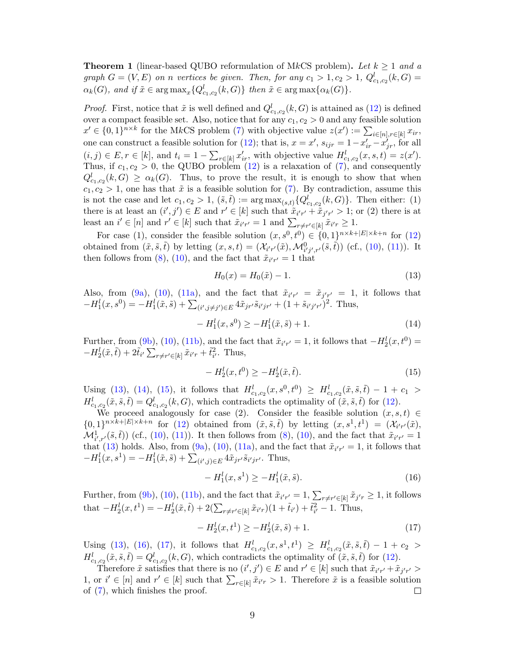**Theorem 1** (linear-based QUBO reformulation of MkCS problem). Let  $k \geq 1$  and a graph  $G = (V, E)$  on n vertices be given. Then, for any  $c_1 > 1, c_2 > 1, Q_{c_1,c_2}^l(k, G) =$  $\alpha_k(G)$ , and if  $\tilde{x} \in \arg \max_x \{Q_{c_1,c_2}^l(k, G)\}\$  then  $\tilde{x} \in \arg \max \{\alpha_k(G)\}\$ .

*Proof.* First, notice that  $\tilde{x}$  is well defined and  $Q_{c_1,c_2}^l(k, G)$  is attained as (12) is defined over a compact feasible set. Also, notice that for any  $c_1, c_2 > 0$  and any feasible solution  $x' \in \{0,1\}^{n \times k}$  for the MkCS problem (7) with objective value  $z(x') := \sum_{i \in [n], r \in [k]} x_{ir}$ , one can construct a feasible solution for (12); that is,  $x = x'$ ,  $s_{ijr} = 1 - x'_{ir} - x'_{jr}$ , for all  $(i, j) \in E, r \in [k],$  and  $t_i = 1 - \sum_{r \in [k]} x'_{ir}$ , with objective value  $H^l_{c_1, c_2}(x, s, t) = z(x')$ . Thus, if  $c_1, c_2 > 0$ , the QUBO problem (12) is a relaxation of (7), and consequently  $Q_{c_1,c_2}^l(k, G) \ge \alpha_k(G)$ . Thus, to prove the result, it is enough to show that when  $c_1, c_2 > 1$ , one has that  $\tilde{x}$  is a feasible solution for (7). By contradiction, assume this is not the case and let  $c_1, c_2 > 1$ ,  $(\tilde{s}, \tilde{t}) := \arg \max_{(s,t)} \{Q_{c_1,c_2}^l(k, G)\}\.$  Then either: (1) there is at least an  $(i', j') \in E$  and  $r' \in [k]$  such that  $\tilde{x}_{i'r'} + \tilde{x}_{j'r'} > 1$ ; or (2) there is at least an  $i' \in [n]$  and  $r' \in [k]$  such that  $\tilde{x}_{i'r'} = 1$  and  $\sum_{r \neq r' \in [k]} \tilde{x}_{i'r} \geq 1$ .

For case (1), consider the feasible solution  $(x, s^0, t^0) \in \{0, 1\}^{n \times k + |E| \times k + n}$  for (12) obtained from  $(\tilde{x}, \tilde{s}, \tilde{t})$  by letting  $(x, s, t) = (\mathcal{X}_{i'r'}(\tilde{x}), \mathcal{M}_{i'j',r'}^0(\tilde{s}, \tilde{t}))$  (cf., (10), (11)). It then follows from (8), (10), and the fact that  $\tilde{x}_{i'r'} = 1$  that

$$
H_0(x) = H_0(\tilde{x}) - 1.
$$
\n(13)

Also, from (9a), (10), (11a), and the fact that  $\tilde{x}_{i'r'} = \tilde{x}_{j'r'} = 1$ , it follows that  $-H_1^l(x, s^0) = -H_1^l(\tilde{x}, \tilde{s}) + \sum_{(i', j \neq j') \in E} 4\tilde{x}_{jr'} \tilde{s}_{i'jr'} + (1 + \tilde{s}_{i'j'r'})^2$ . Thus,

$$
-H_1^l(x, s^0) \ge -H_1^l(\tilde{x}, \tilde{s}) + 1.
$$
\n(14)

Further, from (9b), (10), (11b), and the fact that  $\tilde{x}_{i'r'} = 1$ , it follows that  $-H_2^l(x,t^0) =$  $-H_2^l(\tilde{x}, \tilde{t}) + 2\tilde{t}_{i'}\sum_{r \neq r' \in [k]} \tilde{x}_{i'r} + \tilde{t}_{i'}^2$ . Thus,

$$
-H_2^l(x, t^0) \ge -H_2^l(\tilde{x}, \tilde{t}).
$$
\n(15)

Using (13), (14), (15), it follows that  $H_{c_1,c_2}^l(x,s^0,t^0) \geq H_{c_1,c_2}^l(\tilde{x},\tilde{s},\tilde{t}) - 1 + c_1 >$  $H_{c_1,c_2}^l(\tilde{x},\tilde{s},\tilde{t}) = Q_{c_1,c_2}^l(k,G)$ , which contradicts the optimality of  $(\tilde{x},\tilde{s},\tilde{t})$  for (12).

We proceed analogously for case (2). Consider the feasible solution  $(x, s, t) \in$  $\{0,1\}^{n \times k + |E| \times k+n}$  for (12) obtained from  $(\tilde{x}, \tilde{s}, \tilde{t})$  by letting  $(x, s^1, t^1) = (\mathcal{X}_{i'r'}(\tilde{x}),$  $\mathcal{M}^1_{i',r'}(\tilde{s},\tilde{t})$  (cf., (10), (11)). It then follows from (8), (10), and the fact that  $\tilde{x}_{i'r'} = 1$ that (13) holds. Also, from (9a), (10), (11a), and the fact that  $\tilde{x}_{i'r'} = 1$ , it follows that  $-H_1^l(x, s^1) = -H_1^l(\tilde{x}, \tilde{s}) + \sum_{(i', j) \in E} 4\tilde{x}_{jr'} \tilde{s}_{i'jr'}$ . Thus,

$$
-H_1^l(x, s^1) \ge -H_1^l(\tilde{x}, \tilde{s}).
$$
\n(16)

Further, from (9b), (10), (11b), and the fact that  $\tilde{x}_{i'r'} = 1$ ,  $\sum_{r \neq r' \in [k]} \tilde{x}_{j'r} \geq 1$ , it follows that  $-H_2^l(x,t^1) = -H_2^l(\tilde{x},\tilde{t}) + 2(\sum_{r \neq r' \in [k]} \tilde{x}_{i'r})(1 + \tilde{t}_{i'}) + \tilde{t}_{i'}^2 - 1$ . Thus,

$$
-H_2^l(x, t^1) \ge -H_2^l(\tilde{x}, \tilde{s}) + 1.
$$
\n(17)

Using (13), (16), (17), it follows that  $H_{c_1,c_2}^l(x,s^1,t^1) \geq H_{c_1,c_2}^l(\tilde{x},\tilde{s},\tilde{t}) - 1 + c_2 >$  $H_{c_1,c_2}^l(\tilde{x},\tilde{s},\tilde{t}) = Q_{c_1,c_2}^l(k,G)$ , which contradicts the optimality of  $(\tilde{x},\tilde{s},\tilde{t})$  for (12).

Therefore  $\tilde{x}$  satisfies that there is no  $(i', j') \in E$  and  $r' \in [k]$  such that  $\tilde{x}_{i'r'} + \tilde{x}_{j'r'} >$ 1, or  $i' \in [n]$  and  $r' \in [k]$  such that  $\sum_{r \in [k]} \tilde{x}_{i'r} > 1$ . Therefore  $\tilde{x}$  is a feasible solution of (7), which finishes the proof. ⊔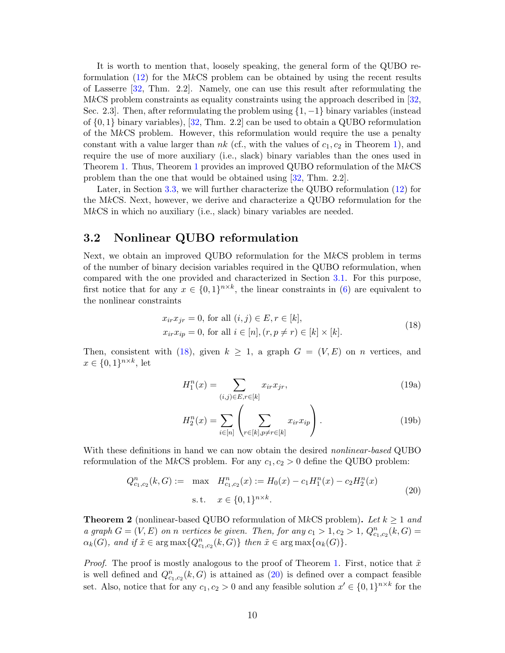It is worth to mention that, loosely speaking, the general form of the QUBO reformulation (12) for the MkCS problem can be obtained by using the recent results of Lasserre [32, Thm. 2.2]. Namely, one can use this result after reformulating the MkCS problem constraints as equality constraints using the approach described in  $[32,$ Sec. 2.3]. Then, after reformulating the problem using  $\{1, -1\}$  binary variables (instead of  $\{0, 1\}$  binary variables),  $\{32, \text{Thm. } 2.2\}$  can be used to obtain a QUBO reformulation of the MkCS problem. However, this reformulation would require the use a penalty constant with a value larger than  $nk$  (cf., with the values of  $c_1, c_2$  in Theorem 1), and require the use of more auxiliary (i.e., slack) binary variables than the ones used in Theorem 1. Thus, Theorem 1 provides an improved QUBO reformulation of the MkCS problem than the one that would be obtained using [32, Thm. 2.2].

Later, in Section 3.3, we will further characterize the QUBO reformulation (12) for the MkCS. Next, however, we derive and characterize a QUBO reformulation for the MkCS in which no auxiliary (i.e., slack) binary variables are needed.

#### 3.2 Nonlinear QUBO reformulation

Next, we obtain an improved QUBO reformulation for the MkCS problem in terms of the number of binary decision variables required in the QUBO reformulation, when compared with the one provided and characterized in Section 3.1. For this purpose, first notice that for any  $x \in \{0,1\}^{n \times k}$ , the linear constraints in (6) are equivalent to the nonlinear constraints

$$
x_{ir}x_{jr} = 0, \text{ for all } (i, j) \in E, r \in [k],
$$
  
\n
$$
x_{ir}x_{ip} = 0, \text{ for all } i \in [n], (r, p \neq r) \in [k] \times [k].
$$
\n(18)

Then, consistent with (18), given  $k \geq 1$ , a graph  $G = (V, E)$  on n vertices, and  $x \in \{0,1\}^{n \times k}$ , let

$$
H_1^n(x) = \sum_{(i,j) \in E, r \in [k]} x_{ir} x_{jr},
$$
\n(19a)

$$
H_2^n(x) = \sum_{i \in [n]} \left( \sum_{r \in [k], p \neq r \in [k]} x_{ir} x_{ip} \right).
$$
 (19b)

With these definitions in hand we can now obtain the desired *nonlinear-based* QUBO reformulation of the MkCS problem. For any  $c_1, c_2 > 0$  define the QUBO problem:

$$
Q_{c_1,c_2}^n(k, G) := \max H_{c_1,c_2}^n(x) := H_0(x) - c_1 H_1^n(x) - c_2 H_2^n(x)
$$
  
s.t.  $x \in \{0,1\}^{n \times k}$ . (20)

**Theorem 2** (nonlinear-based QUBO reformulation of MkCS problem). Let  $k \geq 1$  and a graph  $G = (V, E)$  on n vertices be given. Then, for any  $c_1 > 1, c_2 > 1, Q_{c_1,c_2}^n(k, G) =$  $\alpha_k(G)$ , and if  $\tilde{x} \in \arg \max \{Q^n_{c_1,c_2}(k, G)\}\$  then  $\tilde{x} \in \arg \max \{\alpha_k(G)\}\$ .

*Proof.* The proof is mostly analogous to the proof of Theorem 1. First, notice that  $\tilde{x}$ is well defined and  $Q_{c_1,c_2}^n(k, G)$  is attained as  $(20)$  is defined over a compact feasible set. Also, notice that for any  $c_1, c_2 > 0$  and any feasible solution  $x' \in \{0, 1\}^{n \times k}$  for the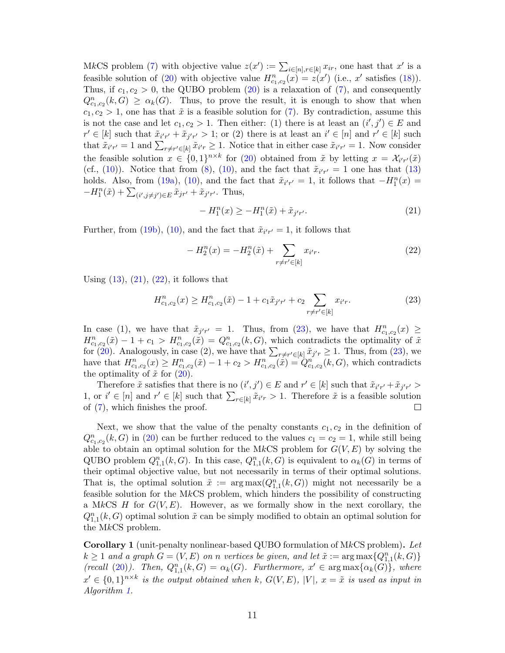MkCS problem (7) with objective value  $z(x') := \sum_{i \in [n], r \in [k]} x_{ir}$ , one hast that x' is a feasible solution of (20) with objective value  $H_{c_1,c_2}^n(x) = z(x')$  (i.e., x' satisfies (18)). Thus, if  $c_1, c_2 > 0$ , the QUBO problem (20) is a relaxation of (7), and consequently  $Q_{c_1,c_2}^n(k, G) \ge \alpha_k(G)$ . Thus, to prove the result, it is enough to show that when  $c_1, c_2 > 1$ , one has that  $\tilde{x}$  is a feasible solution for (7). By contradiction, assume this is not the case and let  $c_1, c_2 > 1$ . Then either: (1) there is at least an  $(i', j') \in E$  and  $r' \in [k]$  such that  $\tilde{x}_{i'r'} + \tilde{x}_{j'r'} > 1$ ; or (2) there is at least an  $i' \in [n]$  and  $r' \in [k]$  such that  $\tilde{x}_{i'r'} = 1$  and  $\sum_{r \neq r' \in [k]} \tilde{x}_{i'r} \geq 1$ . Notice that in either case  $\tilde{x}_{i'r'} = 1$ . Now consider the feasible solution  $x \in \{0,1\}^{n \times k}$  for (20) obtained from  $\tilde{x}$  by letting  $x = \mathcal{X}_{i'r'}(\tilde{x})$ (cf., (10)). Notice that from (8), (10), and the fact that  $\tilde{x}_{i'r'} = 1$  one has that (13) holds. Also, from (19a), (10), and the fact that  $\tilde{x}_{i'r'} = 1$ , it follows that  $-H_1^n(x) =$  $-H_1^n(\tilde{x}) + \sum_{(i',j\neq j')\in E} \tilde{x}_{jr'} + \tilde{x}_{j'r'}$ . Thus,

$$
-H_1^n(x) \ge -H_1^n(\tilde{x}) + \tilde{x}_{j'r'}.
$$
\n(21)

Further, from (19b), (10), and the fact that  $\tilde{x}_{i'r'} = 1$ , it follows that

$$
-H_2^n(x) = -H_2^n(\tilde{x}) + \sum_{r \neq r' \in [k]} x_{i'r}.
$$
\n(22)

Using  $(13)$ ,  $(21)$ ,  $(22)$ , it follows that

$$
H_{c_1,c_2}^n(x) \ge H_{c_1,c_2}^n(\tilde{x}) - 1 + c_1 \tilde{x}_{j'r'} + c_2 \sum_{r \ne r' \in [k]} x_{i'r}.
$$
 (23)

In case (1), we have that  $\tilde{x}_{j'r'} = 1$ . Thus, from (23), we have that  $H_{c_1,c_2}^n(x) \geq$  $H_{c_1,c_2}^n(\tilde{x}) - 1 + c_1 > H_{c_1,c_2}^n(\tilde{x}) = Q_{c_1,c_2}^n(k, G)$ , which contradicts the optimality of  $\tilde{x}$ for (20). Analogously, in case (2), we have that  $\sum_{r \neq r' \in [k]} \tilde{x}_{j'r} \geq 1$ . Thus, from (23), we have that  $H_{c_1,c_2}^n(x) \ge H_{c_1,c_2}^n(\tilde{x}) - 1 + c_2 > H_{c_1,c_2}^n(\tilde{x}) = Q_{c_1,c_2}^n(k, G)$ , which contradicts the optimality of  $\tilde{x}$  for  $(20)$ .

Therefore  $\tilde{x}$  satisfies that there is no  $(i', j') \in E$  and  $r' \in [k]$  such that  $\tilde{x}_{i'r'} + \tilde{x}_{j'r'} >$ 1, or  $i' \in [n]$  and  $r' \in [k]$  such that  $\sum_{r \in [k]} \tilde{x}_{i'r} > 1$ . Therefore  $\tilde{x}$  is a feasible solution of (7), which finishes the proof.  $\sqcup$ 

Next, we show that the value of the penalty constants  $c_1, c_2$  in the definition of  $Q_{c_1,c_2}^n(k, G)$  in (20) can be further reduced to the values  $c_1 = c_2 = 1$ , while still being able to obtain an optimal solution for the MkCS problem for  $G(V, E)$  by solving the QUBO problem  $Q_{1,1}^n(k, G)$ . In this case,  $Q_{1,1}^n(k, G)$  is equivalent to  $\alpha_k(G)$  in terms of their optimal objective value, but not necessarily in terms of their optimal solutions. That is, the optimal solution  $\tilde{x} := \arg \max(Q_{1,1}^n(k, G))$  might not necessarily be a feasible solution for the MkCS problem, which hinders the possibility of constructing a MkCS H for  $G(V, E)$ . However, as we formally show in the next corollary, the  $Q_{1,1}^n(k, G)$  optimal solution  $\tilde{x}$  can be simply modified to obtain an optimal solution for the MkCS problem.

Corollary 1 (unit-penalty nonlinear-based QUBO formulation of MkCS problem). Let  $k \geq 1$  and a graph  $G = (V, E)$  on n vertices be given, and let  $\tilde{x} := \arg \max \{Q_{1,1}^n(k, G)\}$ (recall (20)). Then,  $Q_{1,1}^n(k, G) = \alpha_k(G)$ . Furthermore,  $x' \in \arg \max \{\alpha_k(G)\}\$ , where  $x' \in \{0,1\}^{n \times k}$  is the output obtained when k,  $G(V, E)$ ,  $|V|$ ,  $x = \tilde{x}$  is used as input in Algorithm 1.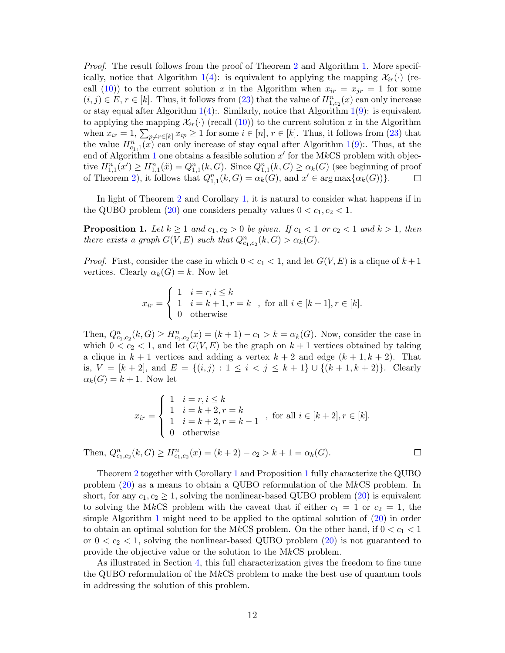*Proof.* The result follows from the proof of Theorem 2 and Algorithm 1. More specifically, notice that Algorithm 1(4): is equivalent to applying the mapping  $\mathcal{X}_{ir}(\cdot)$  (recall (10)) to the current solution x in the Algorithm when  $x_{ir} = x_{jr} = 1$  for some  $(i, j) \in E, r \in [k]$ . Thus, it follows from (23) that the value of  $H_{1,c_2}^n(x)$  can only increase or stay equal after Algorithm 1(4): Similarly, notice that Algorithm 1(9): is equivalent to applying the mapping  $\mathcal{X}_{ir}(\cdot)$  (recall (10)) to the current solution x in the Algorithm when  $x_{ir} = 1$ ,  $\sum_{p \neq r \in [k]} x_{ip} \geq 1$  for some  $i \in [n]$ ,  $r \in [k]$ . Thus, it follows from (23) that the value  $H_{c_1,1}^n(x)$  can only increase of stay equal after Algorithm 1(9):. Thus, at the end of Algorithm 1 one obtains a feasible solution  $x'$  for the MkCS problem with objective  $H_{1,1}^n(x') \ge H_{1,1}^n(\tilde{x}) = Q_{1,1}^n(k, G)$ . Since  $Q_{1,1}^n(k, G) \ge \alpha_k(G)$  (see beginning of proof of Theorem 2), it follows that  $Q_{1,1}^n(k, G) = \alpha_k(G)$ , and  $x' \in \arg \max \{\alpha_k(G)\}\$ .

In light of Theorem 2 and Corollary 1, it is natural to consider what happens if in the QUBO problem (20) one considers penalty values  $0 < c_1, c_2 < 1$ .

**Proposition 1.** Let  $k \geq 1$  and  $c_1, c_2 > 0$  be given. If  $c_1 < 1$  or  $c_2 < 1$  and  $k > 1$ , then there exists a graph  $G(V, E)$  such that  $Q_{c_1, c_2}^n(k, G) > \alpha_k(G)$ .

*Proof.* First, consider the case in which  $0 < c_1 < 1$ , and let  $G(V, E)$  is a clique of  $k+1$ vertices. Clearly  $\alpha_k(G) = k$ . Now let

$$
x_{ir} = \begin{cases} 1 & i = r, i \le k \\ 1 & i = k + 1, r = k \\ 0 & \text{otherwise} \end{cases}
$$
, for all  $i \in [k + 1], r \in [k]$ .

Then,  $Q_{c_1,c_2}^n(k, G) \ge H_{c_1,c_2}^n(x) = (k+1) - c_1 > k = \alpha_k(G)$ . Now, consider the case in which  $0 < c_2 < 1$ , and let  $G(V, E)$  be the graph on  $k + 1$  vertices obtained by taking a clique in  $k + 1$  vertices and adding a vertex  $k + 2$  and edge  $(k + 1, k + 2)$ . That is,  $V = [k+2]$ , and  $E = \{(i, j) : 1 \le i < j \le k+1\} \cup \{(k+1, k+2)\}.$  Clearly  $\alpha_k(G) = k + 1$ . Now let

$$
x_{ir} = \begin{cases} 1 & i = r, i \leq k \\ 1 & i = k + 2, r = k \\ 1 & i = k + 2, r = k - 1 \\ 0 & \text{otherwise} \end{cases}, \text{ for all } i \in [k + 2], r \in [k].
$$

Then,  $Q_{c_1,c_2}^n(k, G) \ge H_{c_1,c_2}^n(x) = (k+2) - c_2 > k+1 = \alpha_k(G).$  $\Box$ 

Theorem 2 together with Corollary 1 and Proposition 1 fully characterize the QUBO problem (20) as a means to obtain a QUBO reformulation of the MkCS problem. In short, for any  $c_1, c_2 \geq 1$ , solving the nonlinear-based QUBO problem (20) is equivalent to solving the MkCS problem with the caveat that if either  $c_1 = 1$  or  $c_2 = 1$ , the simple Algorithm 1 might need to be applied to the optimal solution of (20) in order to obtain an optimal solution for the MkCS problem. On the other hand, if  $0 < c_1 < 1$ or  $0 < c_2 < 1$ , solving the nonlinear-based QUBO problem (20) is not guaranteed to provide the objective value or the solution to the MkCS problem.

As illustrated in Section 4, this full characterization gives the freedom to fine tune the QUBO reformulation of the MkCS problem to make the best use of quantum tools in addressing the solution of this problem.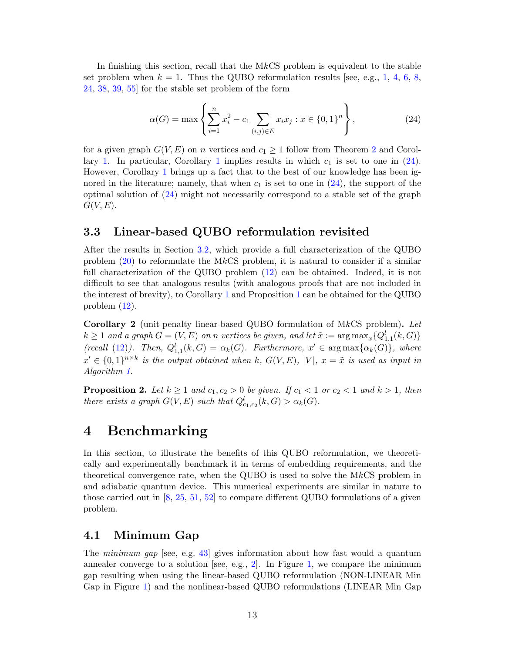In finishing this section, recall that the MkCS problem is equivalent to the stable set problem when  $k = 1$ . Thus the QUBO reformulation results [see, e.g., 1, 4, 6, 8, 24, 38, 39, 55] for the stable set problem of the form

$$
\alpha(G) = \max \left\{ \sum_{i=1}^{n} x_i^2 - c_1 \sum_{(i,j) \in E} x_i x_j : x \in \{0,1\}^n \right\},
$$
\n(24)

for a given graph  $G(V, E)$  on n vertices and  $c_1 \geq 1$  follow from Theorem 2 and Corollary 1. In particular, Corollary 1 implies results in which  $c_1$  is set to one in (24). However, Corollary 1 brings up a fact that to the best of our knowledge has been ignored in the literature; namely, that when  $c_1$  is set to one in  $(24)$ , the support of the optimal solution of (24) might not necessarily correspond to a stable set of the graph  $G(V, E)$ .

#### 3.3 Linear-based QUBO reformulation revisited

After the results in Section 3.2, which provide a full characterization of the QUBO problem  $(20)$  to reformulate the MkCS problem, it is natural to consider if a similar full characterization of the QUBO problem (12) can be obtained. Indeed, it is not difficult to see that analogous results (with analogous proofs that are not included in the interest of brevity), to Corollary 1 and Proposition 1 can be obtained for the QUBO problem (12).

Corollary 2 (unit-penalty linear-based QUBO formulation of MkCS problem). Let  $k \geq 1$  and a graph  $G = (V, E)$  on n vertices be given, and let  $\tilde{x} := \arg \max_x \{Q_{1,1}^l(k, G)\}$ (recall (12)). Then,  $Q_{1,1}^l(k, G) = \alpha_k(G)$ . Furthermore,  $x' \in \arg \max \{\alpha_k(G)\}\$ , where  $x' \in \{0,1\}^{n \times k}$  is the output obtained when k,  $G(V, E)$ ,  $|V|$ ,  $x = \tilde{x}$  is used as input in Algorithm 1.

**Proposition 2.** Let  $k \geq 1$  and  $c_1, c_2 > 0$  be given. If  $c_1 < 1$  or  $c_2 < 1$  and  $k > 1$ , then there exists a graph  $G(V, E)$  such that  $Q_{c_1, c_2}^l(k, G) > \alpha_k(G)$ .

## 4 Benchmarking

In this section, to illustrate the benefits of this QUBO reformulation, we theoretically and experimentally benchmark it in terms of embedding requirements, and the theoretical convergence rate, when the QUBO is used to solve the MkCS problem in and adiabatic quantum device. This numerical experiments are similar in nature to those carried out in  $[8, 25, 51, 52]$  to compare different QUBO formulations of a given problem.

#### 4.1 Minimum Gap

The *minimum gap* [see, e.g. 43] gives information about how fast would a quantum annealer converge to a solution [see, e.g., 2]. In Figure 1, we compare the minimum gap resulting when using the linear-based QUBO reformulation (NON-LINEAR Min Gap in Figure 1) and the nonlinear-based QUBO reformulations (LINEAR Min Gap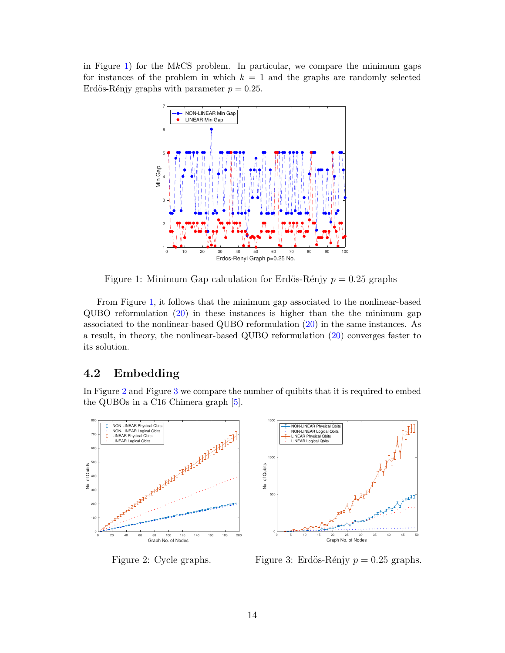in Figure 1) for the MkCS problem. In particular, we compare the minimum gaps for instances of the problem in which  $k = 1$  and the graphs are randomly selected Erdös-Rénjy graphs with parameter  $p = 0.25$ .



Figure 1: Minimum Gap calculation for Erdös-Rénjy  $p = 0.25$  graphs

From Figure 1, it follows that the minimum gap associated to the nonlinear-based  $QUBO$  reformulation  $(20)$  in these instances is higher than the the minimum gap associated to the nonlinear-based QUBO reformulation (20) in the same instances. As a result, in theory, the nonlinear-based QUBO reformulation (20) converges faster to its solution.

### 4.2 Embedding

In Figure 2 and Figure 3 we compare the number of quibits that it is required to embed the QUBOs in a C16 Chimera graph [5].



Figure 2: Cycle graphs.



Figure 3: Erdös-Rénjy  $p = 0.25$  graphs.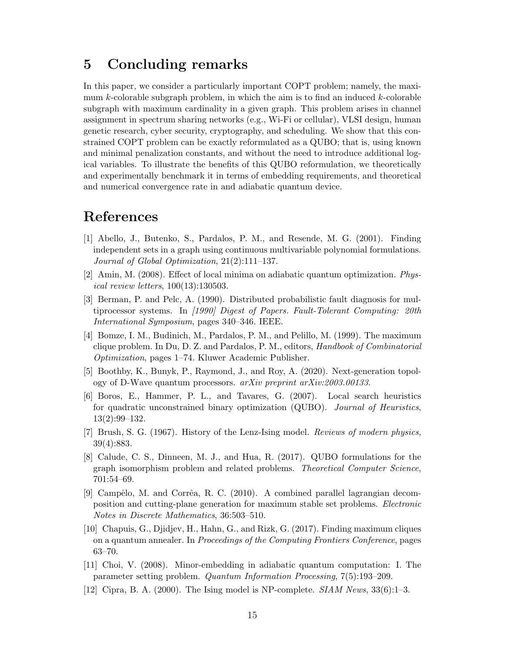## 5 Concluding remarks

In this paper, we consider a particularly important COPT problem; namely, the maximum  $k$ -colorable subgraph problem, in which the aim is to find an induced  $k$ -colorable subgraph with maximum cardinality in a given graph. This problem arises in channel assignment in spectrum sharing networks (e.g., Wi-Fi or cellular), VLSI design, human genetic research, cyber security, cryptography, and scheduling. We show that this constrained COPT problem can be exactly reformulated as a QUBO; that is, using known and minimal penalization constants, and without the need to introduce additional logical variables. To illustrate the benefits of this QUBO reformulation, we theoretically and experimentally benchmark it in terms of embedding requirements, and theoretical and numerical convergence rate in and adiabatic quantum device.

## References

- [1] Abello, J., Butenko, S., Pardalos, P. M., and Resende, M. G. (2001). Finding independent sets in a graph using continuous multivariable polynomial formulations. Journal of Global Optimization, 21(2):111–137.
- [2] Amin, M. (2008). Effect of local minima on adiabatic quantum optimization. Physical review letters, 100(13):130503.
- [3] Berman, P. and Pelc, A. (1990). Distributed probabilistic fault diagnosis for multiprocessor systems. In [1990] Digest of Papers. Fault-Tolerant Computing: 20th International Symposium, pages 340–346. IEEE.
- [4] Bomze, I. M., Budinich, M., Pardalos, P. M., and Pelillo, M. (1999). The maximum clique problem. In Du, D. Z. and Pardalos, P. M., editors, Handbook of Combinatorial Optimization, pages 1–74. Kluwer Academic Publisher.
- [5] Boothby, K., Bunyk, P., Raymond, J., and Roy, A. (2020). Next-generation topology of D-Wave quantum processors. arXiv preprint arXiv:2003.00133.
- [6] Boros, E., Hammer, P. L., and Tavares, G. (2007). Local search heuristics for quadratic unconstrained binary optimization (QUBO). Journal of Heuristics, 13(2):99–132.
- [7] Brush, S. G. (1967). History of the Lenz-Ising model. Reviews of modern physics, 39(4):883.
- [8] Calude, C. S., Dinneen, M. J., and Hua, R. (2017). QUBO formulations for the graph isomorphism problem and related problems. Theoretical Computer Science, 701:54–69.
- [9] Campêlo, M. and Corrêa, R. C. (2010). A combined parallel lagrangian decomposition and cutting-plane generation for maximum stable set problems. Electronic Notes in Discrete Mathematics, 36:503–510.
- [10] Chapuis, G., Djidjev, H., Hahn, G., and Rizk, G. (2017). Finding maximum cliques on a quantum annealer. In Proceedings of the Computing Frontiers Conference, pages 63–70.
- [11] Choi, V. (2008). Minor-embedding in adiabatic quantum computation: I. The parameter setting problem. Quantum Information Processing, 7(5):193–209.
- [12] Cipra, B. A. (2000). The Ising model is NP-complete.  $SIAM News$ ,  $33(6):1-3$ .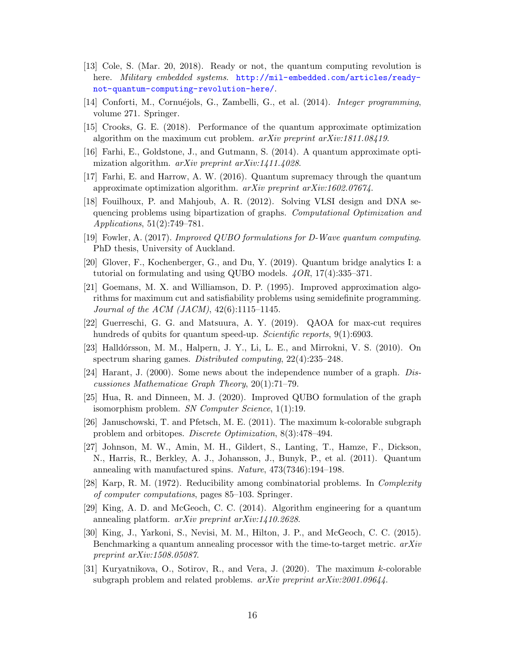- [13] Cole, S. (Mar. 20, 2018). Ready or not, the quantum computing revolution is here. Military embedded systems. http://mil-embedded.com/articles/readynot-quantum-computing-revolution-here/.
- [14] Conforti, M., Cornuéjols, G., Zambelli, G., et al. (2014). *Integer programming*, volume 271. Springer.
- [15] Crooks, G. E. (2018). Performance of the quantum approximate optimization algorithm on the maximum cut problem. arXiv preprint arXiv:1811.08419.
- [16] Farhi, E., Goldstone, J., and Gutmann, S. (2014). A quantum approximate optimization algorithm. *arXiv preprint arXiv:1411.4028*.
- [17] Farhi, E. and Harrow, A. W. (2016). Quantum supremacy through the quantum approximate optimization algorithm. arXiv preprint arXiv:1602.07674.
- [18] Fouilhoux, P. and Mahjoub, A. R. (2012). Solving VLSI design and DNA sequencing problems using bipartization of graphs. Computational Optimization and Applications, 51(2):749–781.
- [19] Fowler, A. (2017). Improved QUBO formulations for D-Wave quantum computing. PhD thesis, University of Auckland.
- [20] Glover, F., Kochenberger, G., and Du, Y. (2019). Quantum bridge analytics I: a tutorial on formulating and using QUBO models. 4OR, 17(4):335–371.
- [21] Goemans, M. X. and Williamson, D. P. (1995). Improved approximation algorithms for maximum cut and satisfiability problems using semidefinite programming. *Journal of the ACM (JACM)*,  $42(6):1115-1145$ .
- [22] Guerreschi, G. G. and Matsuura, A. Y. (2019). QAOA for max-cut requires hundreds of qubits for quantum speed-up. Scientific reports, 9(1):6903.
- [23] Halldórsson, M. M., Halpern, J. Y., Li, L. E., and Mirrokni, V. S. (2010). On spectrum sharing games. Distributed computing, 22(4):235–248.
- [24] Harant, J. (2000). Some news about the independence number of a graph. Discussiones Mathematicae Graph Theory, 20(1):71–79.
- [25] Hua, R. and Dinneen, M. J. (2020). Improved QUBO formulation of the graph isomorphism problem. SN Computer Science, 1(1):19.
- [26] Januschowski, T. and Pfetsch, M. E. (2011). The maximum k-colorable subgraph problem and orbitopes. Discrete Optimization, 8(3):478–494.
- [27] Johnson, M. W., Amin, M. H., Gildert, S., Lanting, T., Hamze, F., Dickson, N., Harris, R., Berkley, A. J., Johansson, J., Bunyk, P., et al. (2011). Quantum annealing with manufactured spins. Nature, 473(7346):194–198.
- [28] Karp, R. M. (1972). Reducibility among combinatorial problems. In Complexity of computer computations, pages 85–103. Springer.
- [29] King, A. D. and McGeoch, C. C. (2014). Algorithm engineering for a quantum annealing platform. arXiv preprint arXiv:1410.2628.
- [30] King, J., Yarkoni, S., Nevisi, M. M., Hilton, J. P., and McGeoch, C. C. (2015). Benchmarking a quantum annealing processor with the time-to-target metric. arXiv preprint arXiv:1508.05087.
- [31] Kuryatnikova, O., Sotirov, R., and Vera, J. (2020). The maximum k-colorable subgraph problem and related problems. arXiv preprint arXiv:2001.09644.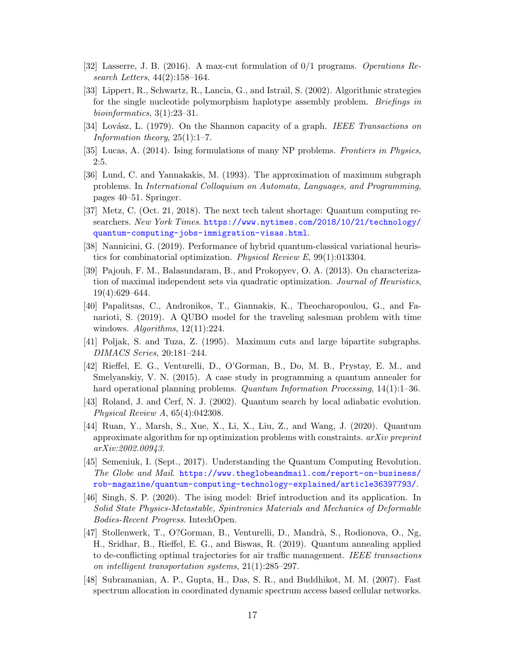- [32] Lasserre, J. B. (2016). A max-cut formulation of 0/1 programs. Operations Research Letters, 44(2):158–164.
- [33] Lippert, R., Schwartz, R., Lancia, G., and Istrail, S. (2002). Algorithmic strategies for the single nucleotide polymorphism haplotype assembly problem. Briefings in bioinformatics, 3(1):23–31.
- [34] Lovász, L. (1979). On the Shannon capacity of a graph. IEEE Transactions on Information theory,  $25(1):1-7$ .
- [35] Lucas, A. (2014). Ising formulations of many NP problems. Frontiers in Physics, 2:5.
- [36] Lund, C. and Yannakakis, M. (1993). The approximation of maximum subgraph problems. In International Colloquium on Automata, Languages, and Programming, pages 40–51. Springer.
- [37] Metz, C. (Oct. 21, 2018). The next tech talent shortage: Quantum computing researchers. New York Times. https://www.nytimes.com/2018/10/21/technology/ quantum-computing-jobs-immigration-visas.html.
- [38] Nannicini, G. (2019). Performance of hybrid quantum-classical variational heuristics for combinatorial optimization. Physical Review E, 99(1):013304.
- [39] Pajouh, F. M., Balasundaram, B., and Prokopyev, O. A. (2013). On characterization of maximal independent sets via quadratic optimization. Journal of Heuristics, 19(4):629–644.
- [40] Papalitsas, C., Andronikos, T., Giannakis, K., Theocharopoulou, G., and Fanarioti, S. (2019). A QUBO model for the traveling salesman problem with time windows.  $Algorithms$ ,  $12(11):224$ .
- [41] Poljak, S. and Tuza, Z. (1995). Maximum cuts and large bipartite subgraphs. DIMACS Series, 20:181–244.
- [42] Rieffel, E. G., Venturelli, D., O'Gorman, B., Do, M. B., Prystay, E. M., and Smelyanskiy, V. N. (2015). A case study in programming a quantum annealer for hard operational planning problems. Quantum Information Processing, 14(1):1–36.
- [43] Roland, J. and Cerf, N. J. (2002). Quantum search by local adiabatic evolution. Physical Review A, 65(4):042308.
- [44] Ruan, Y., Marsh, S., Xue, X., Li, X., Liu, Z., and Wang, J. (2020). Quantum approximate algorithm for np optimization problems with constraints.  $arXiv$  preprint arXiv:2002.00943.
- [45] Semeniuk, I. (Sept., 2017). Understanding the Quantum Computing Revolution. The Globe and Mail. https://www.theglobeandmail.com/report-on-business/ rob-magazine/quantum-computing-technology-explained/article36397793/.
- [46] Singh, S. P. (2020). The ising model: Brief introduction and its application. In Solid State Physics-Metastable, Spintronics Materials and Mechanics of Deformable Bodies-Recent Progress. IntechOpen.
- [47] Stollenwerk, T., O?Gorman, B., Venturelli, D., Mandr`a, S., Rodionova, O., Ng, H., Sridhar, B., Rieffel, E. G., and Biswas, R. (2019). Quantum annealing applied to de-conflicting optimal trajectories for air traffic management. IEEE transactions on intelligent transportation systems, 21(1):285–297.
- [48] Subramanian, A. P., Gupta, H., Das, S. R., and Buddhikot, M. M. (2007). Fast spectrum allocation in coordinated dynamic spectrum access based cellular networks.